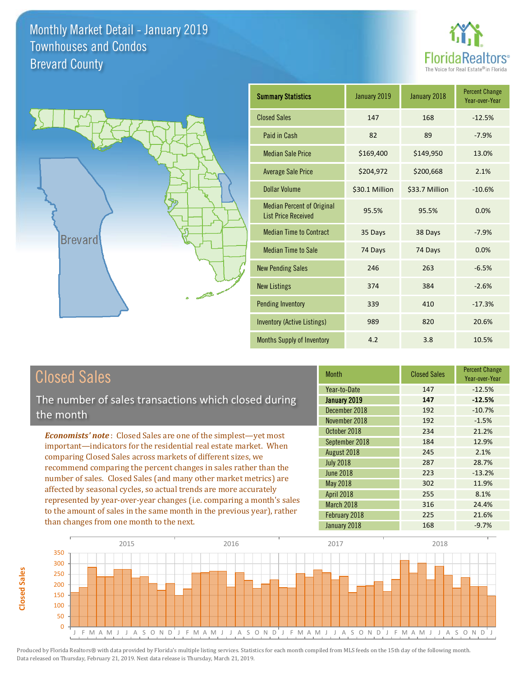



| <b>Summary Statistics</b>                                       | January 2019   | January 2018   | <b>Percent Change</b><br>Year-over-Year |
|-----------------------------------------------------------------|----------------|----------------|-----------------------------------------|
| <b>Closed Sales</b>                                             | 147            | 168            | $-12.5%$                                |
| Paid in Cash                                                    | 82             | 89             | $-7.9%$                                 |
| <b>Median Sale Price</b>                                        | \$169,400      | \$149,950      | 13.0%                                   |
| <b>Average Sale Price</b>                                       | \$204,972      | \$200,668      | 2.1%                                    |
| <b>Dollar Volume</b>                                            | \$30.1 Million | \$33.7 Million | $-10.6%$                                |
| <b>Median Percent of Original</b><br><b>List Price Received</b> | 95.5%          | 95.5%          | 0.0%                                    |
| <b>Median Time to Contract</b>                                  | 35 Days        | 38 Days        | $-7.9%$                                 |
| <b>Median Time to Sale</b>                                      | 74 Days        | 74 Days        | 0.0%                                    |
| <b>New Pending Sales</b>                                        | 246            | 263            | $-6.5%$                                 |
| <b>New Listings</b>                                             | 374            | 384            | $-2.6%$                                 |
| <b>Pending Inventory</b>                                        | 339            | 410            | $-17.3%$                                |
| <b>Inventory (Active Listings)</b>                              | 989            | 820            | 20.6%                                   |
| Months Supply of Inventory                                      | 4.2            | 3.8            | 10.5%                                   |

## Closed Sales

**Closed Sales**

**Closed Sales** 

The number of sales transactions which closed during the month

*Economists' note* : Closed Sales are one of the simplest—yet most important—indicators for the residential real estate market. When comparing Closed Sales across markets of different sizes, we recommend comparing the percent changes in sales rather than the number of sales. Closed Sales (and many other market metrics) are affected by seasonal cycles, so actual trends are more accurately represented by year-over-year changes (i.e. comparing a month's sales to the amount of sales in the same month in the previous year), rather than changes from one month to the next.

| <b>Month</b>     | <b>Closed Sales</b> | <b>Percent Change</b><br>Year-over-Year |
|------------------|---------------------|-----------------------------------------|
| Year-to-Date     | 147                 | $-12.5%$                                |
| January 2019     | 147                 | $-12.5%$                                |
| December 2018    | 192                 | $-10.7%$                                |
| November 2018    | 192                 | $-1.5%$                                 |
| October 2018     | 234                 | 21.2%                                   |
| September 2018   | 184                 | 12.9%                                   |
| August 2018      | 245                 | 2.1%                                    |
| <b>July 2018</b> | 287                 | 28.7%                                   |
| <b>June 2018</b> | 223                 | $-13.2%$                                |
| May 2018         | 302                 | 11.9%                                   |
| April 2018       | 255                 | 8.1%                                    |
| March 2018       | 316                 | 24.4%                                   |
| February 2018    | 225                 | 21.6%                                   |
| January 2018     | 168                 | $-9.7%$                                 |

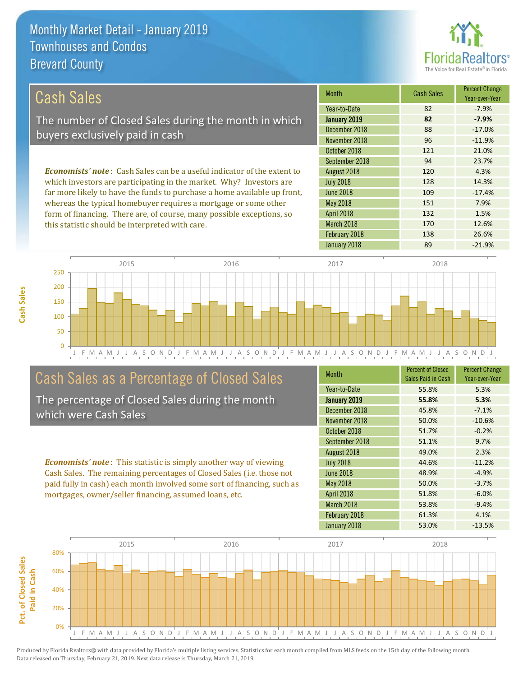this statistic should be interpreted with care.



132 1.5%

170 12.6%

| Cash Sales                                                                     | <b>Month</b>     | <b>Cash Sales</b> | <b>Percent Change</b><br>Year-over-Year |
|--------------------------------------------------------------------------------|------------------|-------------------|-----------------------------------------|
|                                                                                | Year-to-Date     | 82                | $-7.9\%$                                |
| The number of Closed Sales during the month in which                           | January 2019     | 82                | $-7.9%$                                 |
| buyers exclusively paid in cash                                                | December 2018    | 88                | $-17.0%$                                |
|                                                                                | November 2018    | 96                | $-11.9%$                                |
|                                                                                | October 2018     | 121               | 21.0%                                   |
|                                                                                | September 2018   | 94                | 23.7%                                   |
| <b>Economists' note:</b> Cash Sales can be a useful indicator of the extent to | August 2018      | 120               | 4.3%                                    |
| which investors are participating in the market. Why? Investors are            | <b>July 2018</b> | 128               | 14.3%                                   |
| far more likely to have the funds to purchase a home available up front,       | <b>June 2018</b> | 109               | $-17.4%$                                |
| whereas the typical homebuyer requires a mortgage or some other                | May 2018         | 151               | 7.9%                                    |



## Cash Sales as a Percentage of Closed Sales

form of financing. There are, of course, many possible exceptions, so

The percentage of Closed Sales during the month which were Cash Sales

*Economists' note* : This statistic is simply another way of viewing Cash Sales. The remaining percentages of Closed Sales (i.e. those not paid fully in cash) each month involved some sort of financing, such as mortgages, owner/seller financing, assumed loans, etc.

| <b>Month</b>      | <b>Percent of Closed</b><br>Sales Paid in Cash | <b>Percent Change</b><br>Year-over-Year |
|-------------------|------------------------------------------------|-----------------------------------------|
| Year-to-Date      | 55.8%                                          | 5.3%                                    |
| January 2019      | 55.8%                                          | 5.3%                                    |
| December 2018     | 45.8%                                          | $-7.1%$                                 |
| November 2018     | 50.0%                                          | $-10.6%$                                |
| October 2018      | 51.7%                                          | $-0.2%$                                 |
| September 2018    | 51.1%                                          | 9.7%                                    |
| August 2018       | 49.0%                                          | 2.3%                                    |
| <b>July 2018</b>  | 44.6%                                          | $-11.2%$                                |
| June 2018         | 48.9%                                          | $-4.9%$                                 |
| May 2018          | 50.0%                                          | $-3.7%$                                 |
| <b>April 2018</b> | 51.8%                                          | $-6.0%$                                 |
| March 2018        | 53.8%                                          | $-9.4%$                                 |
| February 2018     | 61.3%                                          | 4.1%                                    |
| January 2018      | 53.0%                                          | $-13.5%$                                |

January 2018 **89** -21.9%

February 2018 138 26.6%

March 2018

April 2018

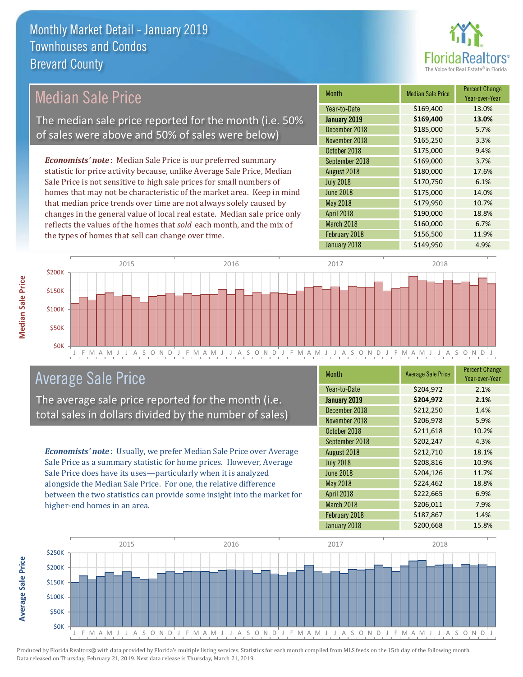

## Median Sale Price The median sale price reported for the month (i.e. 50% of sales were above and 50% of sales were below)

*Economists' note* : Median Sale Price is our preferred summary statistic for price activity because, unlike Average Sale Price, Median Sale Price is not sensitive to high sale prices for small numbers of homes that may not be characteristic of the market area. Keep in mind that median price trends over time are not always solely caused by changes in the general value of local real estate. Median sale price only reflects the values of the homes that *sold* each month, and the mix of the types of homes that sell can change over time.

| Month               | <b>Median Sale Price</b> | <b>Percent Change</b><br>Year-over-Year |
|---------------------|--------------------------|-----------------------------------------|
| Year-to-Date        | \$169,400                | 13.0%                                   |
| <b>January 2019</b> | \$169,400                | 13.0%                                   |
| December 2018       | \$185,000                | 5.7%                                    |
| November 2018       | \$165,250                | 3.3%                                    |
| October 2018        | \$175,000                | 9.4%                                    |
| September 2018      | \$169,000                | 3.7%                                    |
| August 2018         | \$180,000                | 17.6%                                   |
| <b>July 2018</b>    | \$170,750                | 6.1%                                    |
| <b>June 2018</b>    | \$175,000                | 14.0%                                   |
| May 2018            | \$179,950                | 10.7%                                   |
| April 2018          | \$190,000                | 18.8%                                   |
| March 2018          | \$160,000                | 6.7%                                    |
| February 2018       | \$156,500                | 11.9%                                   |
| January 2018        | \$149,950                | 4.9%                                    |



## Average Sale Price

The average sale price reported for the month (i.e. total sales in dollars divided by the number of sales)

*Economists' note* : Usually, we prefer Median Sale Price over Average Sale Price as a summary statistic for home prices. However, Average Sale Price does have its uses—particularly when it is analyzed alongside the Median Sale Price. For one, the relative difference between the two statistics can provide some insight into the market for higher-end homes in an area.

| Month            | <b>Average Sale Price</b> | <b>Percent Change</b><br>Year-over-Year |
|------------------|---------------------------|-----------------------------------------|
| Year-to-Date     | \$204,972                 | 2.1%                                    |
| January 2019     | \$204,972                 | 2.1%                                    |
| December 2018    | \$212,250                 | 1.4%                                    |
| November 2018    | \$206,978                 | 5.9%                                    |
| October 2018     | \$211,618                 | 10.2%                                   |
| September 2018   | \$202,247                 | 4.3%                                    |
| August 2018      | \$212,710                 | 18.1%                                   |
| <b>July 2018</b> | \$208,816                 | 10.9%                                   |
| <b>June 2018</b> | \$204,126                 | 11.7%                                   |
| May 2018         | \$224,462                 | 18.8%                                   |
| April 2018       | \$222,665                 | 6.9%                                    |
| March 2018       | \$206,011                 | 7.9%                                    |
| February 2018    | \$187,867                 | 1.4%                                    |
| January 2018     | \$200,668                 | 15.8%                                   |



Produced by Florida Realtors® with data provided by Florida's multiple listing services. Statistics for each month compiled from MLS feeds on the 15th day of the following month. Data released on Thursday, February 21, 2019. Next data release is Thursday, March 21, 2019.

**Average Sale Price**

**Average Sale Price**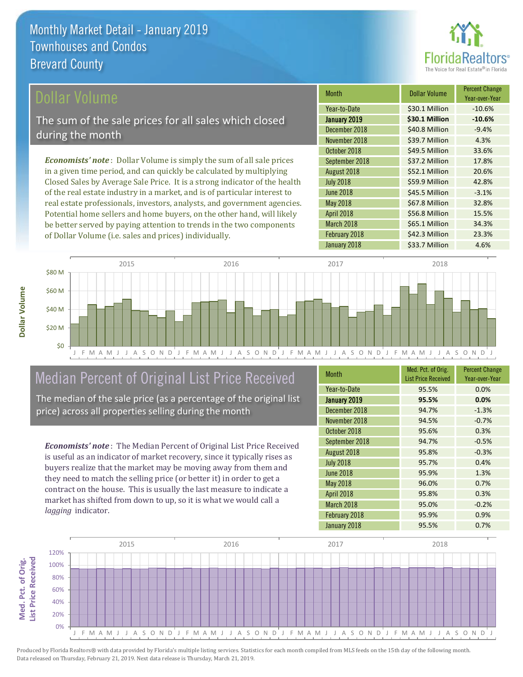

## ollar Volume

The sum of the sale prices for all sales which closed during the month

*Economists' note* : Dollar Volume is simply the sum of all sale prices in a given time period, and can quickly be calculated by multiplying Closed Sales by Average Sale Price. It is a strong indicator of the health of the real estate industry in a market, and is of particular interest to real estate professionals, investors, analysts, and government agencies. Potential home sellers and home buyers, on the other hand, will likely be better served by paying attention to trends in the two components of Dollar Volume (i.e. sales and prices) individually.

| <b>Month</b>     | Dollar Volume  | <b>Percent Change</b><br>Year-over-Year |
|------------------|----------------|-----------------------------------------|
| Year-to-Date     | \$30.1 Million | $-10.6%$                                |
| January 2019     | \$30.1 Million | $-10.6%$                                |
| December 2018    | \$40.8 Million | $-9.4%$                                 |
| November 2018    | \$39.7 Million | 4.3%                                    |
| October 2018     | \$49.5 Million | 33.6%                                   |
| September 2018   | \$37.2 Million | 17.8%                                   |
| August 2018      | \$52.1 Million | 20.6%                                   |
| <b>July 2018</b> | \$59.9 Million | 42.8%                                   |
| <b>June 2018</b> | \$45.5 Million | $-3.1%$                                 |
| <b>May 2018</b>  | \$67.8 Million | 32.8%                                   |
| April 2018       | \$56.8 Million | 15.5%                                   |
| March 2018       | \$65.1 Million | 34.3%                                   |
| February 2018    | \$42.3 Million | 23.3%                                   |
| January 2018     | \$33.7 Million | 4.6%                                    |



## Median Percent of Original List Price Received

The median of the sale price (as a percentage of the original list price) across all properties selling during the month

*Economists' note* : The Median Percent of Original List Price Received is useful as an indicator of market recovery, since it typically rises as buyers realize that the market may be moving away from them and they need to match the selling price (or better it) in order to get a contract on the house. This is usually the last measure to indicate a market has shifted from down to up, so it is what we would call a *lagging* indicator.

| <b>Month</b>      | Med. Pct. of Orig.<br><b>List Price Received</b> | <b>Percent Change</b><br>Year-over-Year |
|-------------------|--------------------------------------------------|-----------------------------------------|
| Year-to-Date      | 95.5%                                            | 0.0%                                    |
| January 2019      | 95.5%                                            | 0.0%                                    |
| December 2018     | 94.7%                                            | $-1.3%$                                 |
| November 2018     | 94.5%                                            | $-0.7%$                                 |
| October 2018      | 95.6%                                            | 0.3%                                    |
| September 2018    | 94.7%                                            | $-0.5%$                                 |
| August 2018       | 95.8%                                            | $-0.3%$                                 |
| <b>July 2018</b>  | 95.7%                                            | 0.4%                                    |
| <b>June 2018</b>  | 95.9%                                            | 1.3%                                    |
| <b>May 2018</b>   | 96.0%                                            | 0.7%                                    |
| <b>April 2018</b> | 95.8%                                            | 0.3%                                    |
| March 2018        | 95.0%                                            | $-0.2%$                                 |
| February 2018     | 95.9%                                            | 0.9%                                    |
| January 2018      | 95.5%                                            | 0.7%                                    |

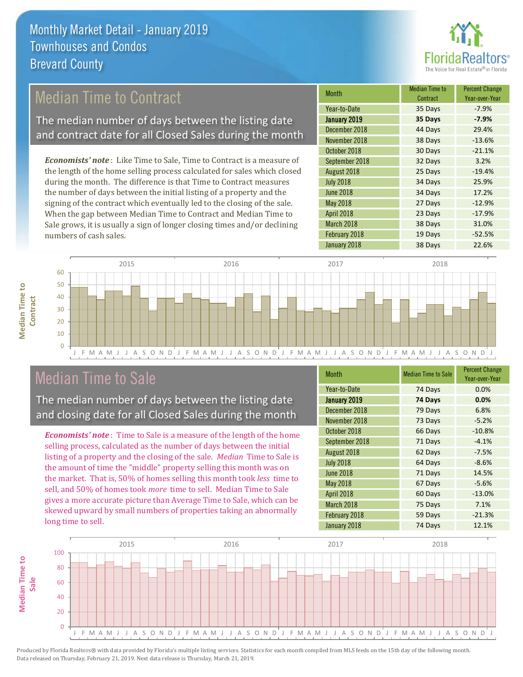

## Median Time to Contract

The median number of days between the listing date and contract date for all Closed Sales during the month

*Economists' note* : Like Time to Sale, Time to Contract is a measure of the length of the home selling process calculated for sales which closed during the month. The difference is that Time to Contract measures the number of days between the initial listing of a property and the signing of the contract which eventually led to the closing of the sale. When the gap between Median Time to Contract and Median Time to Sale grows, it is usually a sign of longer closing times and/or declining numbers of cash sales.

| Month            | <b>Median Time to</b><br>Contract | <b>Percent Change</b><br>Year-over-Year |
|------------------|-----------------------------------|-----------------------------------------|
| Year-to-Date     | 35 Days                           | $-7.9%$                                 |
| January 2019     | 35 Days                           | $-7.9%$                                 |
| December 2018    | 44 Days                           | 29.4%                                   |
| November 2018    | 38 Days                           | $-13.6%$                                |
| October 2018     | 30 Days                           | $-21.1%$                                |
| September 2018   | 32 Days                           | 3.2%                                    |
| August 2018      | 25 Days                           | $-19.4%$                                |
| <b>July 2018</b> | 34 Days                           | 25.9%                                   |
| <b>June 2018</b> | 34 Days                           | 17.2%                                   |
| May 2018         | 27 Days                           | $-12.9%$                                |
| April 2018       | 23 Days                           | $-17.9%$                                |
| March 2018       | 38 Days                           | 31.0%                                   |
| February 2018    | 19 Days                           | $-52.5%$                                |
| January 2018     | 38 Days                           | 22.6%                                   |



## Median Time to Sale

**Median Time to** 

**Median Time to** 

The median number of days between the listing date and closing date for all Closed Sales during the month

*Economists' note* : Time to Sale is a measure of the length of the home selling process, calculated as the number of days between the initial listing of a property and the closing of the sale. *Median* Time to Sale is the amount of time the "middle" property selling this month was on the market. That is, 50% of homes selling this month took *less* time to sell, and 50% of homes took *more* time to sell. Median Time to Sale gives a more accurate picture than Average Time to Sale, which can be skewed upward by small numbers of properties taking an abnormally long time to sell.

| Month            | <b>Median Time to Sale</b> | <b>Percent Change</b><br>Year-over-Year |
|------------------|----------------------------|-----------------------------------------|
| Year-to-Date     | 74 Days                    | 0.0%                                    |
| January 2019     | 74 Days                    | 0.0%                                    |
| December 2018    | 79 Days                    | 6.8%                                    |
| November 2018    | 73 Days                    | $-5.2%$                                 |
| October 2018     | 66 Days                    | $-10.8%$                                |
| September 2018   | 71 Days                    | $-4.1%$                                 |
| August 2018      | 62 Days                    | $-7.5%$                                 |
| <b>July 2018</b> | 64 Days                    | $-8.6%$                                 |
| <b>June 2018</b> | 71 Days                    | 14.5%                                   |
| May 2018         | 67 Days                    | $-5.6%$                                 |
| April 2018       | 60 Days                    | $-13.0%$                                |
| March 2018       | 75 Days                    | 7.1%                                    |
| February 2018    | 59 Days                    | $-21.3%$                                |
| January 2018     | 74 Days                    | 12.1%                                   |

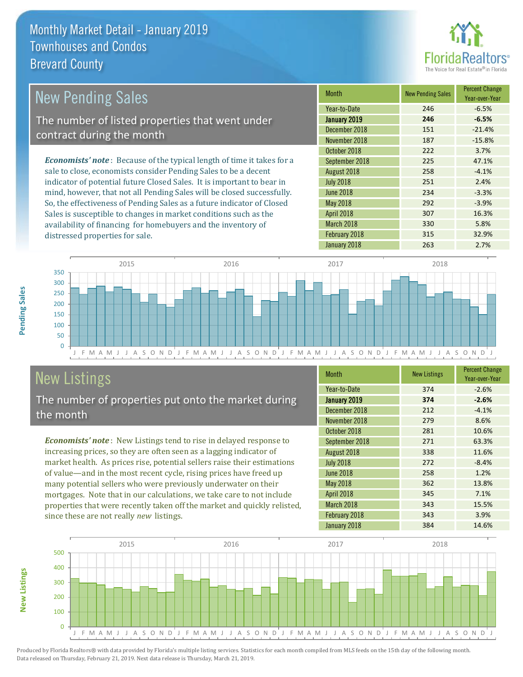

#### *Economists' note* : Because of the typical length of time it takes for a sale to close, economists consider Pending Sales to be a decent indicator of potential future Closed Sales. It is important to bear in mind, however, that not all Pending Sales will be closed successfully. So, the effectiveness of Pending Sales as a future indicator of Closed Month New Pending Sales Percent Change Year-over-Year January 2019 **246 -6.5%** Year-to-Date 246 -6.5% June 2018 234 234 3.3% December 2018 151 -21.4% November 2018 187 187 -15.8% August 2018 **258** -4.1% July 2018 251 2.4% October 2018 222 3.7% September 2018 225 47.1% May 2018 292 3.9% New Pending Sales The number of listed properties that went under contract during the month

J F M A M J J A S O N D J F M A M J J A S O N D J F M A M J J A S O N D J F M A M J J A S O N D J  $\Omega$ 50 100 150 200 250 300 350 2015 2016 2017 2018

## New Listings

distressed properties for sale.

The number of properties put onto the market during the month

Sales is susceptible to changes in market conditions such as the availability of financing for homebuyers and the inventory of

*Economists' note* : New Listings tend to rise in delayed response to increasing prices, so they are often seen as a lagging indicator of market health. As prices rise, potential sellers raise their estimations of value—and in the most recent cycle, rising prices have freed up many potential sellers who were previously underwater on their mortgages. Note that in our calculations, we take care to not include properties that were recently taken off the market and quickly relisted, since these are not really *new* listings.

| <b>Month</b>     | <b>New Listings</b> | <b>Percent Change</b><br>Year-over-Year |
|------------------|---------------------|-----------------------------------------|
| Year-to-Date     | 374                 | $-2.6%$                                 |
| January 2019     | 374                 | $-2.6%$                                 |
| December 2018    | 212                 | $-4.1%$                                 |
| November 2018    | 279                 | 8.6%                                    |
| October 2018     | 281                 | 10.6%                                   |
| September 2018   | 271                 | 63.3%                                   |
| August 2018      | 338                 | 11.6%                                   |
| <b>July 2018</b> | 272                 | $-8.4%$                                 |
| <b>June 2018</b> | 258                 | 1.2%                                    |
| <b>May 2018</b>  | 362                 | 13.8%                                   |
| April 2018       | 345                 | 7.1%                                    |
| March 2018       | 343                 | 15.5%                                   |
| February 2018    | 343                 | 3.9%                                    |
| January 2018     | 384                 | 14.6%                                   |

April 2018 **307** 16.3% March 2018 330 5.8% February 2018 **315** 32.9% January 2018 263 263 2.7%



Produced by Florida Realtors® with data provided by Florida's multiple listing services. Statistics for each month compiled from MLS feeds on the 15th day of the following month. Data released on Thursday, February 21, 2019. Next data release is Thursday, March 21, 2019.

**New Listings**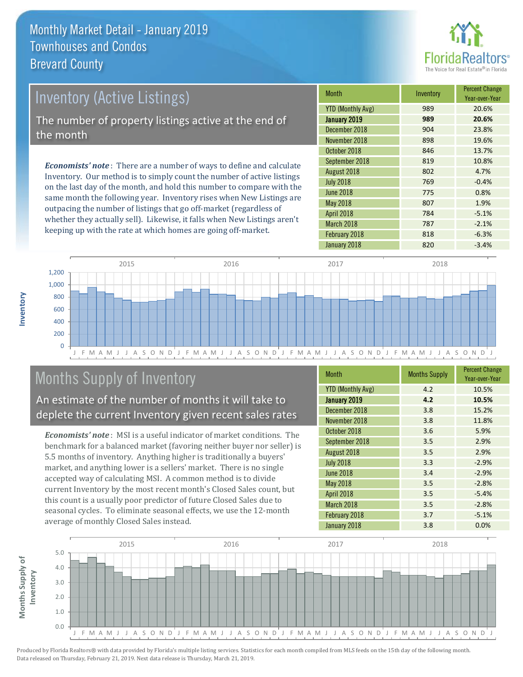

## Inventory (Active Listings) The number of property listings active at the end of the month

*Economists' note* : There are a number of ways to define and calculate Inventory. Our method is to simply count the number of active listings on the last day of the month, and hold this number to compare with the same month the following year. Inventory rises when New Listings are outpacing the number of listings that go off-market (regardless of whether they actually sell). Likewise, it falls when New Listings aren't keeping up with the rate at which homes are going off-market.

| <b>Month</b>             | Inventory | <b>Percent Change</b><br>Year-over-Year |
|--------------------------|-----------|-----------------------------------------|
| <b>YTD (Monthly Avg)</b> | 989       | 20.6%                                   |
| January 2019             | 989       | 20.6%                                   |
| December 2018            | 904       | 23.8%                                   |
| November 2018            | 898       | 19.6%                                   |
| October 2018             | 846       | 13.7%                                   |
| September 2018           | 819       | 10.8%                                   |
| August 2018              | 802       | 4.7%                                    |
| <b>July 2018</b>         | 769       | $-0.4%$                                 |
| <b>June 2018</b>         | 775       | 0.8%                                    |
| <b>May 2018</b>          | 807       | 1.9%                                    |
| April 2018               | 784       | $-5.1%$                                 |
| March 2018               | 787       | $-2.1%$                                 |
| February 2018            | 818       | $-6.3%$                                 |
| January 2018             | 820       | $-3.4%$                                 |



## Months Supply of Inventory

An estimate of the number of months it will take to deplete the current Inventory given recent sales rates

*Economists' note* : MSI is a useful indicator of market conditions. The benchmark for a balanced market (favoring neither buyer nor seller) is 5.5 months of inventory. Anything higher is traditionally a buyers' market, and anything lower is a sellers' market. There is no single accepted way of calculating MSI. A common method is to divide current Inventory by the most recent month's Closed Sales count, but this count is a usually poor predictor of future Closed Sales due to seasonal cycles. To eliminate seasonal effects, we use the 12-month average of monthly Closed Sales instead.

| <b>Month</b>             | <b>Months Supply</b> | <b>Percent Change</b><br>Year-over-Year |
|--------------------------|----------------------|-----------------------------------------|
| <b>YTD (Monthly Avg)</b> | 4.2                  | 10.5%                                   |
| January 2019             | 4.2                  | 10.5%                                   |
| December 2018            | 3.8                  | 15.2%                                   |
| November 2018            | 3.8                  | 11.8%                                   |
| October 2018             | 3.6                  | 5.9%                                    |
| September 2018           | 3.5                  | 2.9%                                    |
| August 2018              | 3.5                  | 2.9%                                    |
| <b>July 2018</b>         | 3.3                  | $-2.9%$                                 |
| <b>June 2018</b>         | 3.4                  | $-2.9%$                                 |
| May 2018                 | 3.5                  | $-2.8%$                                 |
| April 2018               | 3.5                  | $-5.4%$                                 |
| March 2018               | 3.5                  | $-2.8%$                                 |
| February 2018            | 3.7                  | $-5.1%$                                 |
| January 2018             | 3.8                  | 0.0%                                    |



**Inventory**

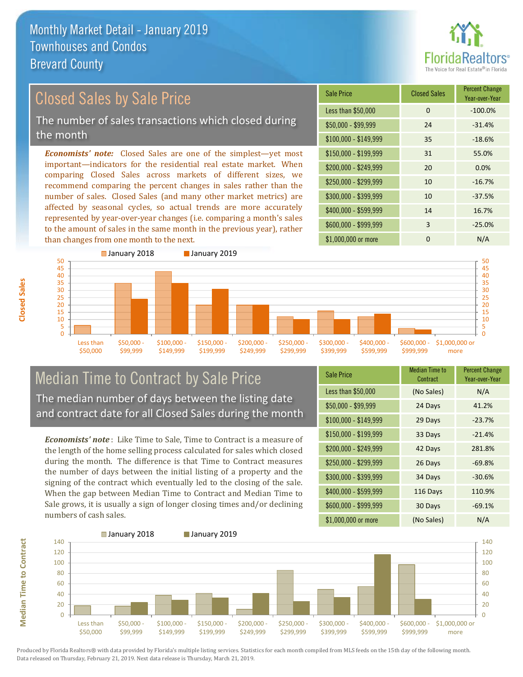

## Closed Sales by Sale Price

The number of sales transactions which closed during the month

*Economists' note:* Closed Sales are one of the simplest—yet most important—indicators for the residential real estate market. When comparing Closed Sales across markets of different sizes, we recommend comparing the percent changes in sales rather than the number of sales. Closed Sales (and many other market metrics) are affected by seasonal cycles, so actual trends are more accurately represented by year-over-year changes (i.e. comparing a month's sales to the amount of sales in the same month in the previous year), rather than changes from one month to the next.





## Median Time to Contract by Sale Price The median number of days between the listing date and contract date for all Closed Sales during the month

*Economists' note* : Like Time to Sale, Time to Contract is a measure of the length of the home selling process calculated for sales which closed during the month. The difference is that Time to Contract measures the number of days between the initial listing of a property and the signing of the contract which eventually led to the closing of the sale. When the gap between Median Time to Contract and Median Time to Sale grows, it is usually a sign of longer closing times and/or declining numbers of cash sales.

| <b>Sale Price</b>     | <b>Median Time to</b><br>Contract | <b>Percent Change</b><br>Year-over-Year |
|-----------------------|-----------------------------------|-----------------------------------------|
| Less than \$50,000    | (No Sales)                        | N/A                                     |
| $$50,000 - $99,999$   | 24 Days                           | 41.2%                                   |
| $$100,000 - $149,999$ | 29 Days                           | $-23.7%$                                |
| $$150,000 - $199,999$ | 33 Days                           | $-21.4%$                                |
| \$200,000 - \$249,999 | 42 Days                           | 281.8%                                  |
| \$250,000 - \$299,999 | 26 Days                           | $-69.8%$                                |
| \$300,000 - \$399,999 | 34 Days                           | $-30.6%$                                |
| \$400,000 - \$599,999 | 116 Days                          | 110.9%                                  |
| \$600,000 - \$999,999 | 30 Days                           | $-69.1%$                                |
| \$1,000,000 or more   | (No Sales)                        | N/A                                     |



**Median Time to Contract**

**Median Time to Contract** 

**Closed Sales**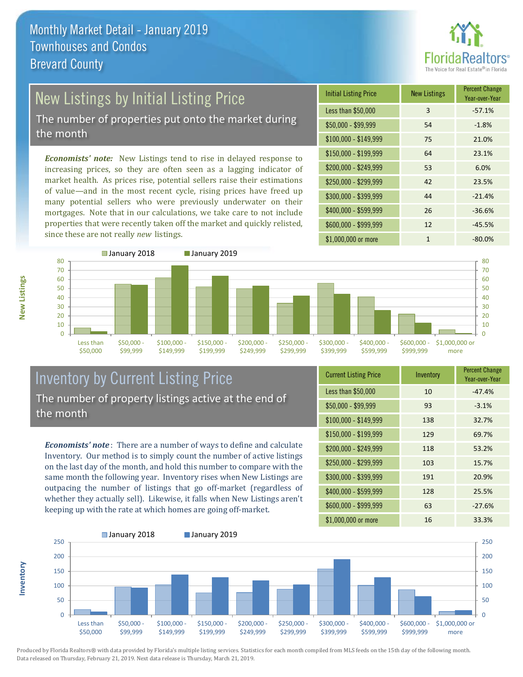

# New Listings by Initial Listing Price

The number of properties put onto the market during the month

*Economists' note:* New Listings tend to rise in delayed response to increasing prices, so they are often seen as a lagging indicator of market health. As prices rise, potential sellers raise their estimations of value—and in the most recent cycle, rising prices have freed up many potential sellers who were previously underwater on their mortgages. Note that in our calculations, we take care to not include properties that were recently taken off the market and quickly relisted, since these are not really *new* listings.





## Inventory by Current Listing Price The number of property listings active at the end of the month

*Economists' note* : There are a number of ways to define and calculate Inventory. Our method is to simply count the number of active listings on the last day of the month, and hold this number to compare with the same month the following year. Inventory rises when New Listings are outpacing the number of listings that go off-market (regardless of whether they actually sell). Likewise, it falls when New Listings aren't keeping up with the rate at which homes are going off-market.

| <b>Current Listing Price</b> | Inventory | <b>Percent Change</b><br>Year-over-Year |
|------------------------------|-----------|-----------------------------------------|
| Less than \$50,000           | 10        | $-47.4%$                                |
| $$50,000 - $99,999$          | 93        | $-3.1%$                                 |
| $$100,000 - $149,999$        | 138       | 32.7%                                   |
| $$150,000 - $199,999$        | 129       | 69.7%                                   |
| \$200,000 - \$249,999        | 118       | 53.2%                                   |
| \$250,000 - \$299,999        | 103       | 15.7%                                   |
| \$300,000 - \$399,999        | 191       | 20.9%                                   |
| $$400,000 - $599,999$        | 128       | 25.5%                                   |
| \$600,000 - \$999,999        | 63        | $-27.6%$                                |
| \$1,000,000 or more          | 16        | 33.3%                                   |



Produced by Florida Realtors® with data provided by Florida's multiple listing services. Statistics for each month compiled from MLS feeds on the 15th day of the following month. Data released on Thursday, February 21, 2019. Next data release is Thursday, March 21, 2019.

**Inventory**